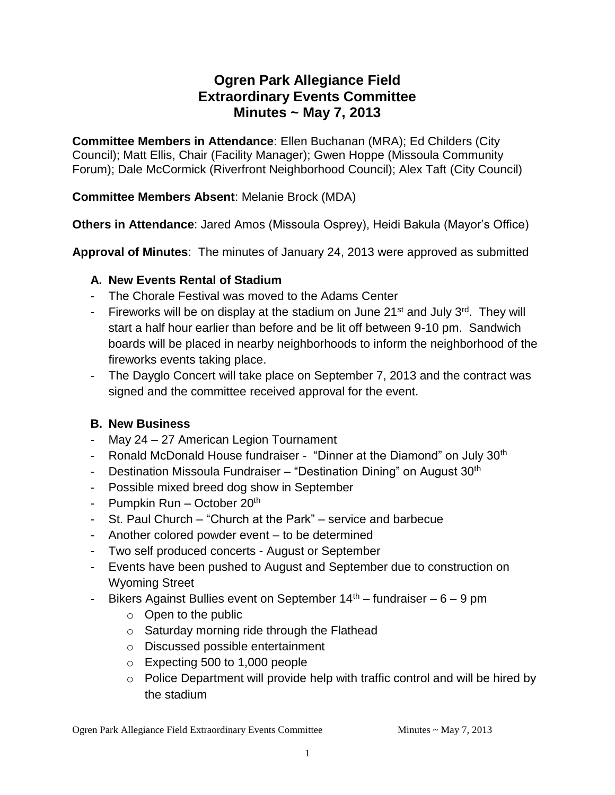# **Ogren Park Allegiance Field Extraordinary Events Committee Minutes ~ May 7, 2013**

**Committee Members in Attendance**: Ellen Buchanan (MRA); Ed Childers (City Council); Matt Ellis, Chair (Facility Manager); Gwen Hoppe (Missoula Community Forum); Dale McCormick (Riverfront Neighborhood Council); Alex Taft (City Council)

### **Committee Members Absent**: Melanie Brock (MDA)

**Others in Attendance**: Jared Amos (Missoula Osprey), Heidi Bakula (Mayor's Office)

**Approval of Minutes**: The minutes of January 24, 2013 were approved as submitted

### **A. New Events Rental of Stadium**

- The Chorale Festival was moved to the Adams Center
- Fireworks will be on display at the stadium on June  $21^{st}$  and July  $3^{rd}$ . They will start a half hour earlier than before and be lit off between 9-10 pm. Sandwich boards will be placed in nearby neighborhoods to inform the neighborhood of the fireworks events taking place.
- The Dayglo Concert will take place on September 7, 2013 and the contract was signed and the committee received approval for the event.

## **B. New Business**

- May 24 27 American Legion Tournament
- Ronald McDonald House fundraiser "Dinner at the Diamond" on July 30<sup>th</sup>
- Destination Missoula Fundraiser "Destination Dining" on August 30<sup>th</sup>
- Possible mixed breed dog show in September
- Pumpkin Run October  $20<sup>th</sup>$
- St. Paul Church "Church at the Park" service and barbecue
- Another colored powder event to be determined
- Two self produced concerts August or September
- Events have been pushed to August and September due to construction on Wyoming Street
- Bikers Against Bullies event on September  $14<sup>th</sup>$  fundraiser 6 9 pm
	- $\circ$  Open to the public
	- o Saturday morning ride through the Flathead
	- o Discussed possible entertainment
	- o Expecting 500 to 1,000 people
	- o Police Department will provide help with traffic control and will be hired by the stadium